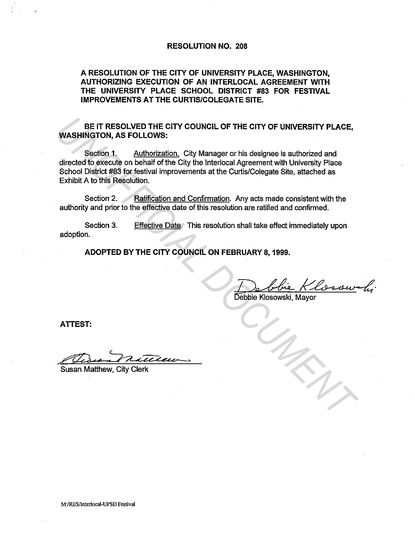## RESOLUTION NO. 208

# A RESOLUTION OF THE CITY OF UNIVERSITY PLACE, WASHINGTON, AUTHORIZING EXECUTION OF AN INTERLOCAL AGREEMENT WITH THE UNIVERSITY PLACE SCHOOL DISTRICT #83 FOR FESTIVAL IMPROVEMENTS AT THE CURTIS/COLEGATE SITE.

BE IT RESOLVED THE CITY COUNCIL OF THE CITY OF UNIVERSITY PLACE, WASHINGTON, AS FOLLOWS:

Section 1. Authorization. City Manager or his designee is authorized and directed to execute on behalf of the City the lnterlocal Agreement with University Place School District #83 for festival improvements at the Curtis/Colegate Site, attached as Exhibit A to this Resolution. **EXECUTE CITY COUNCIL OF THE CITY OF UNIVERSITY PLACE,**<br>
WASHINGTON, AS FOLLOWS:<br>
Second 1. <u>Authorization</u>, City Manager or his designee is authorized and<br>
directed to execute on behalf of the City the Interioral Agreemen

Section 2. Ratification and Confirmation. Any acts made consistent with the authority and prior to the effective date of this resolution are ratified and confirmed.

Section 3. adoption. Effective Date. This resolution shall take effect immediately upon

ADOPTED BY THE CITY COUNCIL ON FEBRUARY 8, 1999.

<u>Debbie Klosou</u>

ATTEST:

~, *r* ~ *..t.U2"eee.-* \_\_,,.

Susan Matthew, City Clerk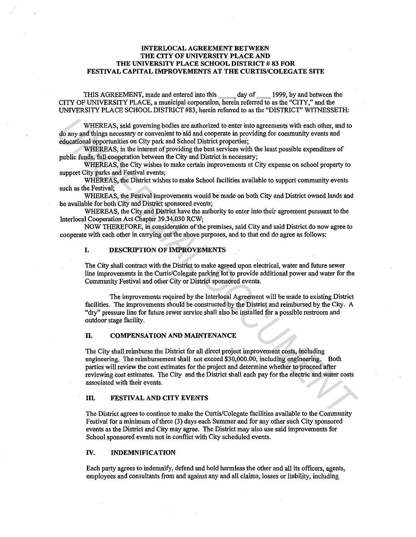#### INTERLOCAL AGREEMENT BETWEEN THE CITY OF UNIVERSITY PLACE AND THE UNIVERSITY PLACE SCHOOL DISTRICT # 83 FOR FESTIVAL CAPITAL IMPROVEMENTS AT THE CURTIS/COLEGATE SITE

THIS AGREEMENT, made and entered into this \_\_ day of \_\_ 1999, by and between the CITY OF UNIVERSITY PLACE, a municipal corporation, herein referred to as the "CITY," and the UNIVERSITY PLACE SCHOOL DISTRICT #83, herein referred to as the "DISTRICT" WITNESSETH:

WHEREAS, said governing bodies are authorized to enter into agreements with each other, and to do any and things necessary or convenient to aid and cooperate in providing for community events and educational opportunities on City park and School District properties;

WHEREAS, in the interest of providing the best services with the least possible expenditure of public funds, full cooperation between the City and District is necessary;

WHEREAS, the City wishes to make certain improvements at City expense on school property to support City parks and Festival events;

WHEREAS, the District wishes to make School facilities available to support community events such as the Festival;

WHEREAS, the Festival improvements would be made on both City and District owned lands and be available for both City and District sponsored events;

WHEREAS, the City and District have the authority to enter into their agreement pursuant to the Interlocal Cooperation Act Chapter 39.34.030 RCW;

NOW THEREFORE, in consideration of the premises, said City and said District do now agree to cooperate with each other in carrying out the above purposes, and to that end do agree as follows:

## I. DESCRIPTION OF IMPROVEMENTS

The City shall contract with the District to make agreed upon electrical, water and future sewer line improvements in the Curtis/Colegate parking lot to provide additional power and water for the Community Festival and other City or District sponsored events.

The improvements required by the Interlocal Agreement will be made to existing District facilities. The improvements should be constructed by the District and reimbursed by the City. A "dry" pressure line for future sewer service shall also be installed for a possible restroom and outdoor stage facility.

#### II. COMPENSATION AND MAINTENANCE

The City shall reimburse the District for all direct project improvement costs, including engineering. The reimbursement shall not exceed \$30,000.00, including engineering. Both parties will review the cost estimates for the project and determine whether to proceed after reviewing cost estimates. The City and the District shall each pay for the electric and water costs associated with their events. WHEREAS, said governing boties are authorized to enter into agreements with each other, and to educational opportunities on Chyrard and cooperation in providing for community events and detacational poportunities on Chyrar

#### III. FESTIVAL AND CITY EVENTS

The District agrees to continue to make the Curtis/Colegate facilities available to the Community Festival for a minimum of three (3) days each Summer and for any other such City sponsored events as the District and City may agree. The District may also use said improvements for School sponsored events not in conflict with City scheduled events.

#### IV. INDEMNIFICATION

Each party agrees to indemnify, defend and hold harmless the other and all its officers, agents, employees and consultants from and against any and all claims, losses or liability, including